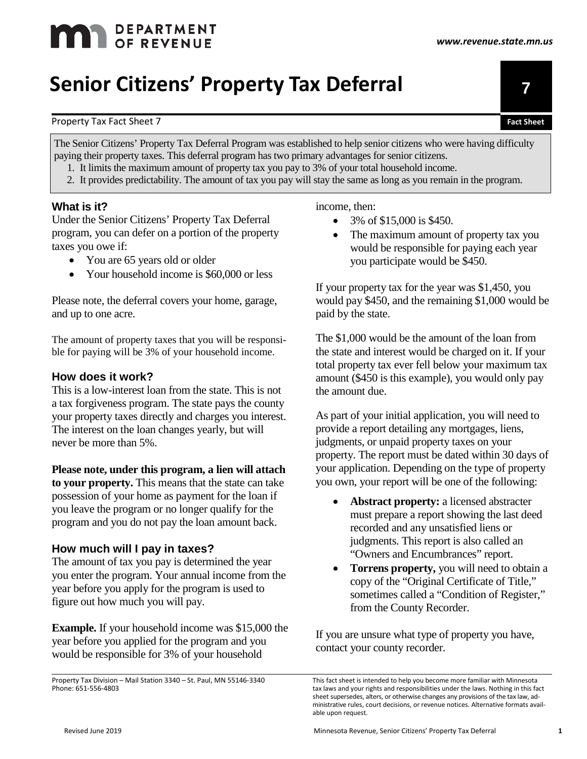# **MAN** DEPARTMENT

# Property Tax Fact Sheet 7 **Fact Sheet**

The Senior Citizens' Property Tax Deferral Program was established to help senior citizens who were having difficulty paying their property taxes. This deferral program has two primary advantages for senior citizens.

- 1. It limits the maximum amount of property tax you pay to 3% of your total household income.
- 2. It provides predictability. The amount of tax you pay will stay the same as long as you remain in the program.

#### **What is it?**

Under the Senior Citizens' Property Tax Deferral program, you can defer on a portion of the property taxes you owe if:

- You are 65 years old or older
- Your household income is \$60,000 or less

Please note, the deferral covers your home, garage, and up to one acre.

The amount of property taxes that you will be responsible for paying will be 3% of your household income.

#### **How does it work?**

This is a low-interest loan from the state. This is not a tax forgiveness program. The state pays the county your property taxes directly and charges you interest. The interest on the loan changes yearly, but will never be more than 5%.

**Please note, under this program, a lien will attach to your property.** This means that the state can take possession of your home as payment for the loan if you leave the program or no longer qualify for the program and you do not pay the loan amount back.

#### **How much will I pay in taxes?**

The amount of tax you pay is determined the year you enter the program. Your annual income from the year before you apply for the program is used to figure out how much you will pay.

**Example.** If your household income was \$15,000 the year before you applied for the program and you would be responsible for 3% of your household

Property Tax Division – Mail Station 3340 – St. Paul, MN 55146-3340 Phone: 651-556-4803

#### income, then:

- 3% of \$15,000 is \$450.
- The maximum amount of property tax you would be responsible for paying each year you participate would be \$450.

If your property tax for the year was \$1,450, you would pay \$450, and the remaining \$1,000 would be paid by the state.

The \$1,000 would be the amount of the loan from the state and interest would be charged on it. If your total property tax ever fell below your maximum tax amount (\$450 is this example), you would only pay the amount due.

As part of your initial application, you will need to provide a report detailing any mortgages, liens, judgments, or unpaid property taxes on your property. The report must be dated within 30 days of your application. Depending on the type of property you own, your report will be one of the following:

- **Abstract property:** a licensed abstracter must prepare a report showing the last deed recorded and any unsatisfied liens or judgments. This report is also called an "Owners and Encumbrances" report.
- **Torrens property,** you will need to obtain a copy of the "Original Certificate of Title," sometimes called a "Condition of Register," from the County Recorder.

If you are unsure what type of property you have, contact your county recorder.



This fact sheet is intended to help you become more familiar with Minnesota tax laws and your rights and responsibilities under the laws. Nothing in this fact sheet supersedes, alters, or otherwise changes any provisions of the tax law, administrative rules, court decisions, or revenue notices. Alternative formats available upon request.